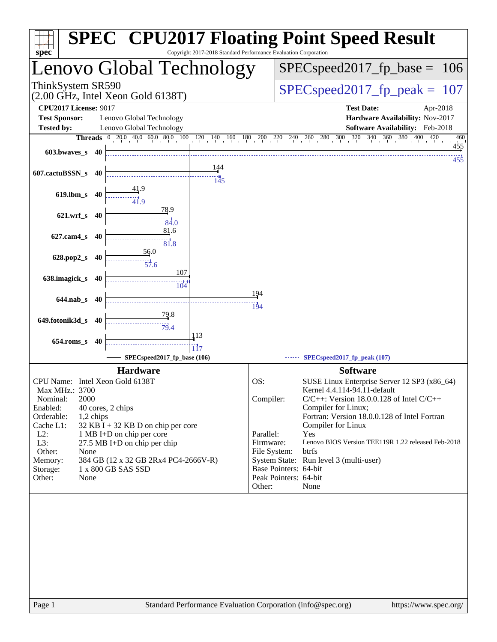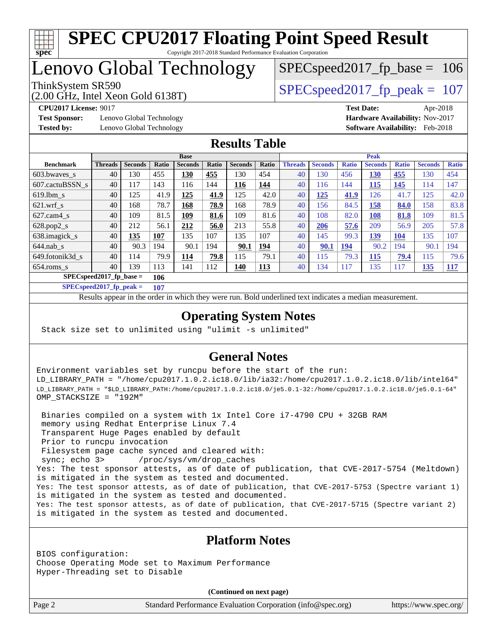

## Lenovo Global Technology

(2.00 GHz, Intel Xeon Gold 6138T)

ThinkSystem SR590<br>  $\angle Q$  O CUz Jatel Year Cald 6128T)

SPECspeed2017 fp base =  $106$ 

**[Test Sponsor:](http://www.spec.org/auto/cpu2017/Docs/result-fields.html#TestSponsor)** Lenovo Global Technology **[Hardware Availability:](http://www.spec.org/auto/cpu2017/Docs/result-fields.html#HardwareAvailability)** Nov-2017 **[Tested by:](http://www.spec.org/auto/cpu2017/Docs/result-fields.html#Testedby)** Lenovo Global Technology **[Software Availability:](http://www.spec.org/auto/cpu2017/Docs/result-fields.html#SoftwareAvailability)** Feb-2018

**[CPU2017 License:](http://www.spec.org/auto/cpu2017/Docs/result-fields.html#CPU2017License)** 9017 **[Test Date:](http://www.spec.org/auto/cpu2017/Docs/result-fields.html#TestDate)** Apr-2018

#### **[Results Table](http://www.spec.org/auto/cpu2017/Docs/result-fields.html#ResultsTable)**

|                                   | <b>Base</b>    |                |       |                |       |                |            | <b>Peak</b>    |                |              |                |              |                |              |
|-----------------------------------|----------------|----------------|-------|----------------|-------|----------------|------------|----------------|----------------|--------------|----------------|--------------|----------------|--------------|
| <b>Benchmark</b>                  | <b>Threads</b> | <b>Seconds</b> | Ratio | <b>Seconds</b> | Ratio | <b>Seconds</b> | Ratio      | <b>Threads</b> | <b>Seconds</b> | <b>Ratio</b> | <b>Seconds</b> | <b>Ratio</b> | <b>Seconds</b> | <b>Ratio</b> |
| $603.bwaves$ s                    | 40             | 130            | 455   | 130            | 455   | 130            | 454        | 40             | 130            | 456          | 130            | 455          | 130            | 454          |
| 607.cactuBSSN s                   | 40             | 117            | 143   | 116            | 144   | 116            | 144        | 40             | 116            | 144          | 115            | 145          | 114            | 147          |
| $619.1$ bm s                      | 40             | 125            | 41.9  | 125            | 41.9  | 125            | 42.0       | 40             | <u> 125</u>    | 41.9         | 126            | 41.7         | 125            | 42.0         |
| $621$ wrf s                       | 40             | 168            | 78.7  | 168            | 78.9  | 168            | 78.9       | 40             | 156            | 84.5         | 158            | 84.0         | 158            | 83.8         |
| $627$ .cam4 s                     | 40             | 109            | 81.5  | 109            | 81.6  | 109            | 81.6       | 40             | 108            | 82.0         | 108            | 81.8         | 109            | 81.5         |
| $628.pop2_s$                      | 40             | 212            | 56.1  | 212            | 56.0  | 213            | 55.8       | 40             | 206            | 57.6         | 209            | 56.9         | 205            | 57.8         |
| 638.imagick_s                     | 40             | 135            | 107   | 135            | 107   | 135            | 107        | 40             | 145            | 99.3         | 139            | <b>104</b>   | 135            | 107          |
| $644$ .nab s                      | 40             | 90.3           | 194   | 90.1           | 194   | 90.1           | 194        | 40             | 90.1           | 194          | 90.2           | 194          | 90.1           | 194          |
| 649.fotonik3d s                   | 40             | 114            | 79.9  | 114            | 79.8  | 115            | 79.1       | 40             | 115            | 79.3         | 115            | 79.4         | 115            | 79.6         |
| $654$ .roms s                     | 40             | 139            | 113   | 141            | 112   | <u>140</u>     | <b>113</b> | 40             | 134            | 117          | 135            | 117          | <u>135</u>     | <b>117</b>   |
| $SPECspeed2017_fp\_base =$<br>106 |                |                |       |                |       |                |            |                |                |              |                |              |                |              |

**[SPECspeed2017\\_fp\\_peak =](http://www.spec.org/auto/cpu2017/Docs/result-fields.html#SPECspeed2017fppeak) 107**

Results appear in the [order in which they were run.](http://www.spec.org/auto/cpu2017/Docs/result-fields.html#RunOrder) Bold underlined text [indicates a median measurement](http://www.spec.org/auto/cpu2017/Docs/result-fields.html#Median).

### **[Operating System Notes](http://www.spec.org/auto/cpu2017/Docs/result-fields.html#OperatingSystemNotes)**

Stack size set to unlimited using "ulimit -s unlimited"

#### **[General Notes](http://www.spec.org/auto/cpu2017/Docs/result-fields.html#GeneralNotes)**

Environment variables set by runcpu before the start of the run: LD\_LIBRARY\_PATH = "/home/cpu2017.1.0.2.ic18.0/lib/ia32:/home/cpu2017.1.0.2.ic18.0/lib/intel64" LD\_LIBRARY\_PATH = "\$LD\_LIBRARY\_PATH:/home/cpu2017.1.0.2.ic18.0/je5.0.1-32:/home/cpu2017.1.0.2.ic18.0/je5.0.1-64" OMP\_STACKSIZE = "192M"

 Binaries compiled on a system with 1x Intel Core i7-4790 CPU + 32GB RAM memory using Redhat Enterprise Linux 7.4 Transparent Huge Pages enabled by default Prior to runcpu invocation Filesystem page cache synced and cleared with: sync; echo 3> /proc/sys/vm/drop\_caches Yes: The test sponsor attests, as of date of publication, that CVE-2017-5754 (Meltdown) is mitigated in the system as tested and documented. Yes: The test sponsor attests, as of date of publication, that CVE-2017-5753 (Spectre variant 1) is mitigated in the system as tested and documented. Yes: The test sponsor attests, as of date of publication, that CVE-2017-5715 (Spectre variant 2) is mitigated in the system as tested and documented.

#### **[Platform Notes](http://www.spec.org/auto/cpu2017/Docs/result-fields.html#PlatformNotes)**

BIOS configuration: Choose Operating Mode set to Maximum Performance Hyper-Threading set to Disable

**(Continued on next page)**

Page 2 Standard Performance Evaluation Corporation [\(info@spec.org\)](mailto:info@spec.org) <https://www.spec.org/>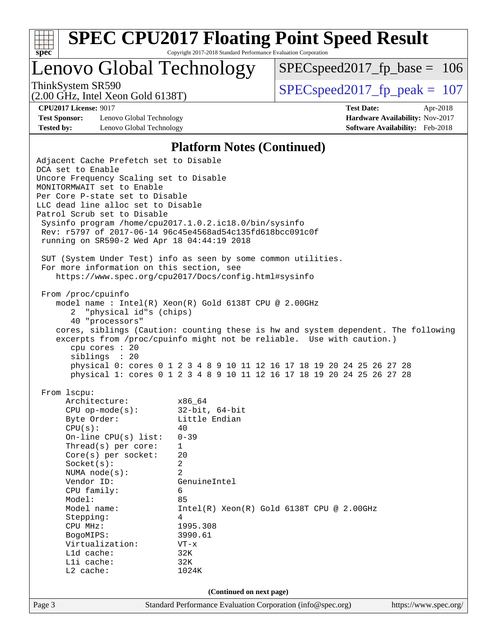

Lenovo Global Technology

[SPECspeed2017\\_fp\\_base =](http://www.spec.org/auto/cpu2017/Docs/result-fields.html#SPECspeed2017fpbase) 106

(2.00 GHz, Intel Xeon Gold 6138T)

ThinkSystem SR590<br>  $\angle Q$  O CUz Jatel Year Cald 6128T)

**[Test Sponsor:](http://www.spec.org/auto/cpu2017/Docs/result-fields.html#TestSponsor)** Lenovo Global Technology **[Hardware Availability:](http://www.spec.org/auto/cpu2017/Docs/result-fields.html#HardwareAvailability)** Nov-2017 **[Tested by:](http://www.spec.org/auto/cpu2017/Docs/result-fields.html#Testedby)** Lenovo Global Technology **[Software Availability:](http://www.spec.org/auto/cpu2017/Docs/result-fields.html#SoftwareAvailability)** Feb-2018

**[CPU2017 License:](http://www.spec.org/auto/cpu2017/Docs/result-fields.html#CPU2017License)** 9017 **[Test Date:](http://www.spec.org/auto/cpu2017/Docs/result-fields.html#TestDate)** Apr-2018

#### **[Platform Notes \(Continued\)](http://www.spec.org/auto/cpu2017/Docs/result-fields.html#PlatformNotes)**

Page 3 Standard Performance Evaluation Corporation [\(info@spec.org\)](mailto:info@spec.org) <https://www.spec.org/> Adjacent Cache Prefetch set to Disable DCA set to Enable Uncore Frequency Scaling set to Disable MONITORMWAIT set to Enable Per Core P-state set to Disable LLC dead line alloc set to Disable Patrol Scrub set to Disable Sysinfo program /home/cpu2017.1.0.2.ic18.0/bin/sysinfo Rev: r5797 of 2017-06-14 96c45e4568ad54c135fd618bcc091c0f running on SR590-2 Wed Apr 18 04:44:19 2018 SUT (System Under Test) info as seen by some common utilities. For more information on this section, see <https://www.spec.org/cpu2017/Docs/config.html#sysinfo> From /proc/cpuinfo model name : Intel(R) Xeon(R) Gold 6138T CPU @ 2.00GHz 2 "physical id"s (chips) 40 "processors" cores, siblings (Caution: counting these is hw and system dependent. The following excerpts from /proc/cpuinfo might not be reliable. Use with caution.) cpu cores : 20 siblings : 20 physical 0: cores 0 1 2 3 4 8 9 10 11 12 16 17 18 19 20 24 25 26 27 28 physical 1: cores 0 1 2 3 4 8 9 10 11 12 16 17 18 19 20 24 25 26 27 28 From lscpu: Architecture: x86\_64 CPU op-mode(s): 32-bit, 64-bit Byte Order: Little Endian  $CPU(s):$  40 On-line CPU(s) list: 0-39 Thread(s) per core: 1 Core(s) per socket: 20 Socket(s): 2 NUMA node(s): 2 Vendor ID: GenuineIntel CPU family: 6 Model: 85 Model name:  $Intel(R)$  Xeon(R) Gold 6138T CPU @ 2.00GHz Stepping: 4 CPU MHz: 1995.308 BogoMIPS: 3990.61 Virtualization: VT-x L1d cache: 32K L1i cache: 32K L2 cache: 1024K **(Continued on next page)**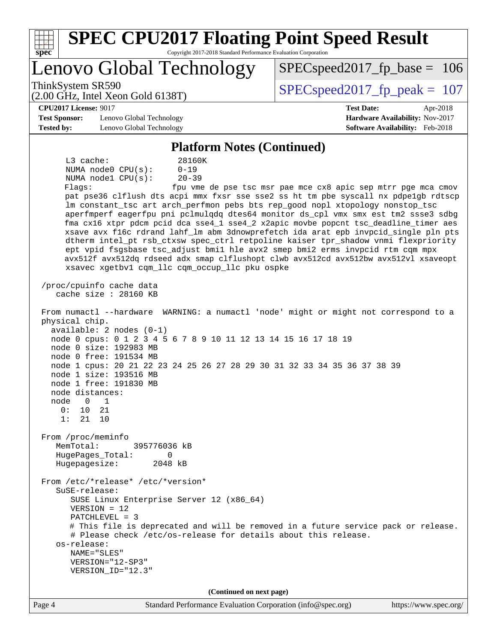| <b>SPEC CPU2017 Floating Point Speed Result</b><br>Copyright 2017-2018 Standard Performance Evaluation Corporation<br>spec                                                                                                                                                                                                                                                                                                                                                                                                                                                                                                                                                                                                                                                                                                                                                                                                                                                                                                                                                                                                                                                                                                                                                                                                                                                                                                                                                                                                                                                                                                                                                                                                                                                                                                                                             |                                                                                                            |  |  |  |
|------------------------------------------------------------------------------------------------------------------------------------------------------------------------------------------------------------------------------------------------------------------------------------------------------------------------------------------------------------------------------------------------------------------------------------------------------------------------------------------------------------------------------------------------------------------------------------------------------------------------------------------------------------------------------------------------------------------------------------------------------------------------------------------------------------------------------------------------------------------------------------------------------------------------------------------------------------------------------------------------------------------------------------------------------------------------------------------------------------------------------------------------------------------------------------------------------------------------------------------------------------------------------------------------------------------------------------------------------------------------------------------------------------------------------------------------------------------------------------------------------------------------------------------------------------------------------------------------------------------------------------------------------------------------------------------------------------------------------------------------------------------------------------------------------------------------------------------------------------------------|------------------------------------------------------------------------------------------------------------|--|--|--|
| Lenovo Global Technology                                                                                                                                                                                                                                                                                                                                                                                                                                                                                                                                                                                                                                                                                                                                                                                                                                                                                                                                                                                                                                                                                                                                                                                                                                                                                                                                                                                                                                                                                                                                                                                                                                                                                                                                                                                                                                               | $SPEC speed2017_fp\_base = 106$                                                                            |  |  |  |
| ThinkSystem SR590<br>$(2.00 \text{ GHz}, \text{Intel Xeon Gold } 6138 \text{T})$                                                                                                                                                                                                                                                                                                                                                                                                                                                                                                                                                                                                                                                                                                                                                                                                                                                                                                                                                                                                                                                                                                                                                                                                                                                                                                                                                                                                                                                                                                                                                                                                                                                                                                                                                                                       | $SPEC speed2017_fp_peak = 107$                                                                             |  |  |  |
| <b>CPU2017 License: 9017</b><br><b>Test Sponsor:</b><br>Lenovo Global Technology<br><b>Tested by:</b><br>Lenovo Global Technology                                                                                                                                                                                                                                                                                                                                                                                                                                                                                                                                                                                                                                                                                                                                                                                                                                                                                                                                                                                                                                                                                                                                                                                                                                                                                                                                                                                                                                                                                                                                                                                                                                                                                                                                      | <b>Test Date:</b><br>Apr-2018<br>Hardware Availability: Nov-2017<br><b>Software Availability:</b> Feb-2018 |  |  |  |
| <b>Platform Notes (Continued)</b>                                                                                                                                                                                                                                                                                                                                                                                                                                                                                                                                                                                                                                                                                                                                                                                                                                                                                                                                                                                                                                                                                                                                                                                                                                                                                                                                                                                                                                                                                                                                                                                                                                                                                                                                                                                                                                      |                                                                                                            |  |  |  |
| L3 cache:<br>28160K<br>NUMA $node0$ $CPU(s)$ :<br>$0 - 19$<br>$20 - 39$<br>NUMA nodel CPU(s):<br>Flaqs:<br>pat pse36 clflush dts acpi mmx fxsr sse sse2 ss ht tm pbe syscall nx pdpe1gb rdtscp<br>lm constant_tsc art arch_perfmon pebs bts rep_good nopl xtopology nonstop_tsc<br>aperfmperf eagerfpu pni pclmulqdq dtes64 monitor ds_cpl vmx smx est tm2 ssse3 sdbg<br>fma cx16 xtpr pdcm pcid dca sse4_1 sse4_2 x2apic movbe popcnt tsc_deadline_timer aes<br>xsave avx f16c rdrand lahf_lm abm 3dnowprefetch ida arat epb invpcid_single pln pts<br>dtherm intel_pt rsb_ctxsw spec_ctrl retpoline kaiser tpr_shadow vnmi flexpriority<br>ept vpid fsgsbase tsc_adjust bmil hle avx2 smep bmi2 erms invpcid rtm cqm mpx<br>avx512f avx512dq rdseed adx smap clflushopt clwb avx512cd avx512bw avx512vl xsaveopt<br>xsavec xgetbv1 cqm_llc cqm_occup_llc pku ospke<br>/proc/cpuinfo cache data<br>cache size : 28160 KB<br>From numactl --hardware WARNING: a numactl 'node' might or might not correspond to a<br>physical chip.<br>$available: 2 nodes (0-1)$<br>node 0 cpus: 0 1 2 3 4 5 6 7 8 9 10 11 12 13 14 15 16 17 18 19<br>node 0 size: 192983 MB<br>node 0 free: 191534 MB<br>node 1 cpus: 20 21 22 23 24 25 26 27 28 29 30 31 32 33 34 35 36 37 38 39<br>node 1 size: 193516 MB<br>node 1 free: 191830 MB<br>node distances:<br>$\mathbf{0}$<br>node<br>1<br>0:<br>10<br>21<br>1:<br>21<br>10<br>From /proc/meminfo<br>MemTotal:<br>395776036 kB<br>HugePages_Total:<br>0<br>Hugepagesize:<br>2048 kB<br>From /etc/*release* /etc/*version*<br>SuSE-release:<br>SUSE Linux Enterprise Server 12 (x86_64)<br>$VERSION = 12$<br>$PATCHLEVEL = 3$<br># This file is deprecated and will be removed in a future service pack or release.<br># Please check /etc/os-release for details about this release.<br>os-release:<br>NAME="SLES"<br>VERSION="12-SP3" | fpu vme de pse tsc msr pae mce cx8 apic sep mtrr pge mca cmov                                              |  |  |  |
| VERSION_ID="12.3"<br>(Continued on next page)                                                                                                                                                                                                                                                                                                                                                                                                                                                                                                                                                                                                                                                                                                                                                                                                                                                                                                                                                                                                                                                                                                                                                                                                                                                                                                                                                                                                                                                                                                                                                                                                                                                                                                                                                                                                                          |                                                                                                            |  |  |  |
| Standard Performance Evaluation Corporation (info@spec.org)<br>Page 4                                                                                                                                                                                                                                                                                                                                                                                                                                                                                                                                                                                                                                                                                                                                                                                                                                                                                                                                                                                                                                                                                                                                                                                                                                                                                                                                                                                                                                                                                                                                                                                                                                                                                                                                                                                                  | https://www.spec.org/                                                                                      |  |  |  |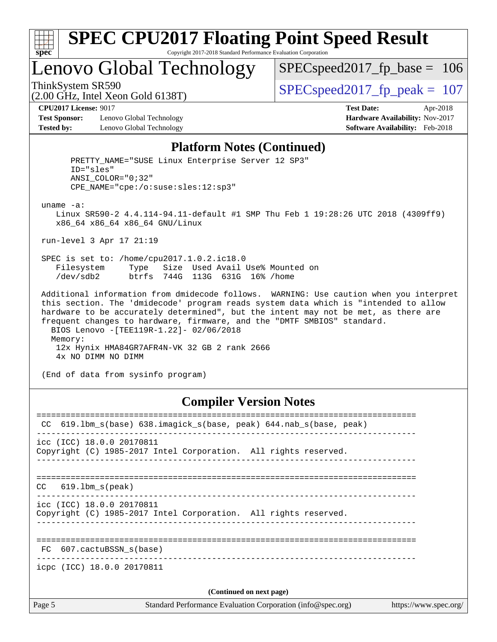

# **[SPEC CPU2017 Floating Point Speed Result](http://www.spec.org/auto/cpu2017/Docs/result-fields.html#SPECCPU2017FloatingPointSpeedResult)**

Copyright 2017-2018 Standard Performance Evaluation Corporation

Lenovo Global Technology

[SPECspeed2017\\_fp\\_base =](http://www.spec.org/auto/cpu2017/Docs/result-fields.html#SPECspeed2017fpbase) 106

(2.00 GHz, Intel Xeon Gold 6138T)

ThinkSystem SR590<br>  $(2.00 \text{ GHz})$  Intel Xeon Gold 6138T)

**[Test Sponsor:](http://www.spec.org/auto/cpu2017/Docs/result-fields.html#TestSponsor)** Lenovo Global Technology **[Hardware Availability:](http://www.spec.org/auto/cpu2017/Docs/result-fields.html#HardwareAvailability)** Nov-2017 **[Tested by:](http://www.spec.org/auto/cpu2017/Docs/result-fields.html#Testedby)** Lenovo Global Technology **[Software Availability:](http://www.spec.org/auto/cpu2017/Docs/result-fields.html#SoftwareAvailability)** Feb-2018

**[CPU2017 License:](http://www.spec.org/auto/cpu2017/Docs/result-fields.html#CPU2017License)** 9017 **[Test Date:](http://www.spec.org/auto/cpu2017/Docs/result-fields.html#TestDate)** Apr-2018

#### **[Platform Notes \(Continued\)](http://www.spec.org/auto/cpu2017/Docs/result-fields.html#PlatformNotes)**

| PRETTY NAME="SUSE Linux Enterprise Server 12 SP3"<br>ID="sles"<br>$ANSI$ _COLOR=" $0:32$ "<br>CPE NAME="cpe:/o:suse:sles:12:sp3"                                                                                                                                                                                                                                                                                                                                             |
|------------------------------------------------------------------------------------------------------------------------------------------------------------------------------------------------------------------------------------------------------------------------------------------------------------------------------------------------------------------------------------------------------------------------------------------------------------------------------|
| $uname -a$ :<br>Linux SR590-2 4.4.114-94.11-default #1 SMP Thu Feb 1 19:28:26 UTC 2018 (4309ff9)<br>x86 64 x86 64 x86 64 GNU/Linux                                                                                                                                                                                                                                                                                                                                           |
| run-level 3 Apr 17 21:19                                                                                                                                                                                                                                                                                                                                                                                                                                                     |
| SPEC is set to: /home/cpu2017.1.0.2.ic18.0<br>Type Size Used Avail Use% Mounted on<br>Filesystem<br>dev/sdb2 btrfs 744G 113G 631G 16% /home                                                                                                                                                                                                                                                                                                                                  |
| Additional information from dmidecode follows. WARNING: Use caution when you interpret<br>this section. The 'dmidecode' program reads system data which is "intended to allow<br>hardware to be accurately determined", but the intent may not be met, as there are<br>frequent changes to hardware, firmware, and the "DMTF SMBIOS" standard.<br>BIOS Lenovo - [TEE119R-1.22] - 02/06/2018<br>Memory:<br>12x Hynix HMA84GR7AFR4N-VK 32 GB 2 rank 2666<br>4x NO DIMM NO DIMM |

(End of data from sysinfo program)

#### **[Compiler Version Notes](http://www.spec.org/auto/cpu2017/Docs/result-fields.html#CompilerVersionNotes)**

| CC.    | 619.1bm_s(base) 638.imagick_s(base, peak) 644.nab_s(base, peak)                              |  |  |  |  |
|--------|----------------------------------------------------------------------------------------------|--|--|--|--|
|        | icc (ICC) 18.0.0 20170811<br>Copyright (C) 1985-2017 Intel Corporation. All rights reserved. |  |  |  |  |
| CC     | 619.1bm s(peak)                                                                              |  |  |  |  |
|        | icc (ICC) 18.0.0 20170811<br>Copyright (C) 1985-2017 Intel Corporation. All rights reserved. |  |  |  |  |
|        | FC 607.cactuBSSN s(base)                                                                     |  |  |  |  |
|        | icpc (ICC) 18.0.0 20170811                                                                   |  |  |  |  |
|        | (Continued on next page)                                                                     |  |  |  |  |
| Page 5 | Standard Performance Evaluation Corporation (info@spec.org)<br>https://www.spec.org/         |  |  |  |  |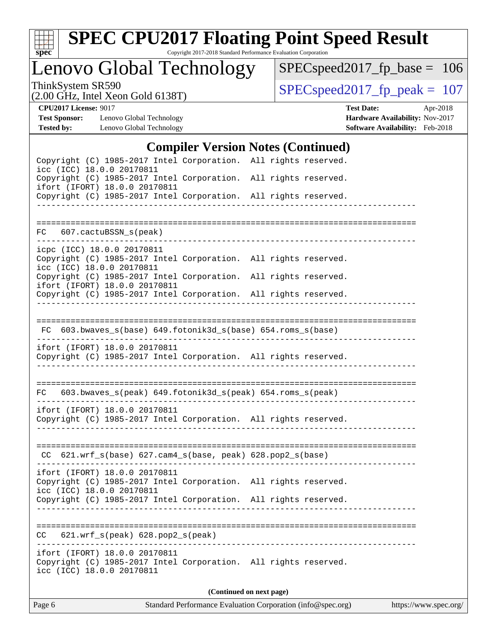

# **[SPEC CPU2017 Floating Point Speed Result](http://www.spec.org/auto/cpu2017/Docs/result-fields.html#SPECCPU2017FloatingPointSpeedResult)**

Copyright 2017-2018 Standard Performance Evaluation Corporation

Lenovo Global Technology

[SPECspeed2017\\_fp\\_base =](http://www.spec.org/auto/cpu2017/Docs/result-fields.html#SPECspeed2017fpbase) 106

(2.00 GHz, Intel Xeon Gold 6138T)

ThinkSystem SR590<br>  $(2.00 \text{ GHz})$  Intel Xeon Gold 6138T)

**[Tested by:](http://www.spec.org/auto/cpu2017/Docs/result-fields.html#Testedby)** Lenovo Global Technology **[Software Availability:](http://www.spec.org/auto/cpu2017/Docs/result-fields.html#SoftwareAvailability)** Feb-2018

**[CPU2017 License:](http://www.spec.org/auto/cpu2017/Docs/result-fields.html#CPU2017License)** 9017 **[Test Date:](http://www.spec.org/auto/cpu2017/Docs/result-fields.html#TestDate)** Apr-2018 **[Test Sponsor:](http://www.spec.org/auto/cpu2017/Docs/result-fields.html#TestSponsor)** Lenovo Global Technology **[Hardware Availability:](http://www.spec.org/auto/cpu2017/Docs/result-fields.html#HardwareAvailability)** Nov-2017

#### **[Compiler Version Notes \(Continued\)](http://www.spec.org/auto/cpu2017/Docs/result-fields.html#CompilerVersionNotes)**

| Page 6                                                                                                                                                                                        | Standard Performance Evaluation Corporation (info@spec.org)<br>https://www.spec.org/ |
|-----------------------------------------------------------------------------------------------------------------------------------------------------------------------------------------------|--------------------------------------------------------------------------------------|
|                                                                                                                                                                                               | (Continued on next page)                                                             |
| ifort (IFORT) 18.0.0 20170811<br>Copyright (C) 1985-2017 Intel Corporation. All rights reserved.<br>icc (ICC) 18.0.0 20170811                                                                 |                                                                                      |
| 621.wrf_s(peak) 628.pop2_s(peak)<br>CC                                                                                                                                                        | ___________________________________                                                  |
| Copyright (C) 1985-2017 Intel Corporation. All rights reserved.                                                                                                                               |                                                                                      |
| ifort (IFORT) 18.0.0 20170811<br>Copyright (C) 1985-2017 Intel Corporation. All rights reserved.<br>icc (ICC) 18.0.0 20170811                                                                 |                                                                                      |
| CC 621.wrf_s(base) 627.cam4_s(base, peak) 628.pop2_s(base)                                                                                                                                    |                                                                                      |
| ifort (IFORT) 18.0.0 20170811<br>Copyright (C) 1985-2017 Intel Corporation. All rights reserved.                                                                                              |                                                                                      |
| $603.bwaves_s(peak) 649.fotonik3d_s(peak) 654.roms_s(peak)$<br>FC.                                                                                                                            | <u>_________________</u>                                                             |
| ifort (IFORT) 18.0.0 20170811<br>Copyright (C) 1985-2017 Intel Corporation. All rights reserved.                                                                                              |                                                                                      |
| FC 603.bwaves_s(base) 649.fotonik3d_s(base) 654.roms_s(base)                                                                                                                                  |                                                                                      |
| ifort (IFORT) 18.0.0 20170811<br>Copyright (C) 1985-2017 Intel Corporation. All rights reserved.                                                                                              |                                                                                      |
| icpc (ICC) 18.0.0 20170811<br>Copyright (C) 1985-2017 Intel Corporation. All rights reserved.<br>icc (ICC) 18.0.0 20170811<br>Copyright (C) 1985-2017 Intel Corporation. All rights reserved. |                                                                                      |
| 607.cactuBSSN_s(peak)<br>FC                                                                                                                                                                   |                                                                                      |
| Copyright (C) 1985-2017 Intel Corporation. All rights reserved.                                                                                                                               |                                                                                      |
| icc (ICC) 18.0.0 20170811<br>Copyright (C) 1985-2017 Intel Corporation.<br>ifort (IFORT) 18.0.0 20170811                                                                                      | All rights reserved.                                                                 |
| Copyright (C) 1985-2017 Intel Corporation. All rights reserved.                                                                                                                               |                                                                                      |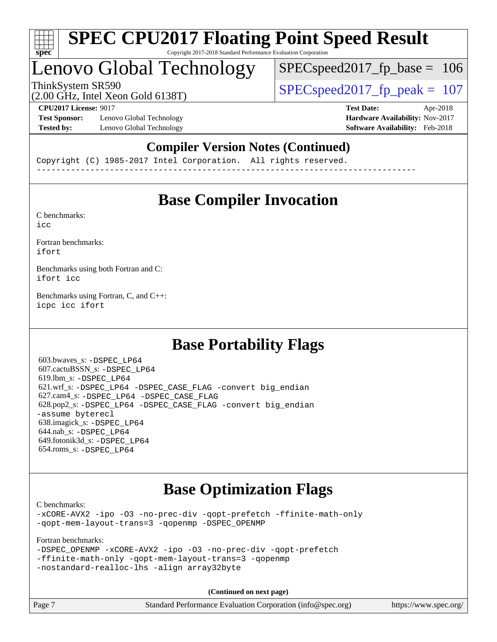

### Lenovo Global Technology

SPECspeed2017 fp base  $= 106$ 

(2.00 GHz, Intel Xeon Gold 6138T)

ThinkSystem SR590<br>  $SPEC speed2017$  fp\_peak = 107

**[Test Sponsor:](http://www.spec.org/auto/cpu2017/Docs/result-fields.html#TestSponsor)** Lenovo Global Technology **[Hardware Availability:](http://www.spec.org/auto/cpu2017/Docs/result-fields.html#HardwareAvailability)** Nov-2017 **[Tested by:](http://www.spec.org/auto/cpu2017/Docs/result-fields.html#Testedby)** Lenovo Global Technology **[Software Availability:](http://www.spec.org/auto/cpu2017/Docs/result-fields.html#SoftwareAvailability)** Feb-2018

**[CPU2017 License:](http://www.spec.org/auto/cpu2017/Docs/result-fields.html#CPU2017License)** 9017 **[Test Date:](http://www.spec.org/auto/cpu2017/Docs/result-fields.html#TestDate)** Apr-2018

### **[Compiler Version Notes \(Continued\)](http://www.spec.org/auto/cpu2017/Docs/result-fields.html#CompilerVersionNotes)**

Copyright (C) 1985-2017 Intel Corporation. All rights reserved. ------------------------------------------------------------------------------

### **[Base Compiler Invocation](http://www.spec.org/auto/cpu2017/Docs/result-fields.html#BaseCompilerInvocation)**

[C benchmarks](http://www.spec.org/auto/cpu2017/Docs/result-fields.html#Cbenchmarks): [icc](http://www.spec.org/cpu2017/results/res2018q2/cpu2017-20180528-05941.flags.html#user_CCbase_intel_icc_18.0_66fc1ee009f7361af1fbd72ca7dcefbb700085f36577c54f309893dd4ec40d12360134090235512931783d35fd58c0460139e722d5067c5574d8eaf2b3e37e92)

[Fortran benchmarks](http://www.spec.org/auto/cpu2017/Docs/result-fields.html#Fortranbenchmarks): [ifort](http://www.spec.org/cpu2017/results/res2018q2/cpu2017-20180528-05941.flags.html#user_FCbase_intel_ifort_18.0_8111460550e3ca792625aed983ce982f94888b8b503583aa7ba2b8303487b4d8a21a13e7191a45c5fd58ff318f48f9492884d4413fa793fd88dd292cad7027ca)

[Benchmarks using both Fortran and C](http://www.spec.org/auto/cpu2017/Docs/result-fields.html#BenchmarksusingbothFortranandC): [ifort](http://www.spec.org/cpu2017/results/res2018q2/cpu2017-20180528-05941.flags.html#user_CC_FCbase_intel_ifort_18.0_8111460550e3ca792625aed983ce982f94888b8b503583aa7ba2b8303487b4d8a21a13e7191a45c5fd58ff318f48f9492884d4413fa793fd88dd292cad7027ca) [icc](http://www.spec.org/cpu2017/results/res2018q2/cpu2017-20180528-05941.flags.html#user_CC_FCbase_intel_icc_18.0_66fc1ee009f7361af1fbd72ca7dcefbb700085f36577c54f309893dd4ec40d12360134090235512931783d35fd58c0460139e722d5067c5574d8eaf2b3e37e92)

[Benchmarks using Fortran, C, and C++:](http://www.spec.org/auto/cpu2017/Docs/result-fields.html#BenchmarksusingFortranCandCXX) [icpc](http://www.spec.org/cpu2017/results/res2018q2/cpu2017-20180528-05941.flags.html#user_CC_CXX_FCbase_intel_icpc_18.0_c510b6838c7f56d33e37e94d029a35b4a7bccf4766a728ee175e80a419847e808290a9b78be685c44ab727ea267ec2f070ec5dc83b407c0218cded6866a35d07) [icc](http://www.spec.org/cpu2017/results/res2018q2/cpu2017-20180528-05941.flags.html#user_CC_CXX_FCbase_intel_icc_18.0_66fc1ee009f7361af1fbd72ca7dcefbb700085f36577c54f309893dd4ec40d12360134090235512931783d35fd58c0460139e722d5067c5574d8eaf2b3e37e92) [ifort](http://www.spec.org/cpu2017/results/res2018q2/cpu2017-20180528-05941.flags.html#user_CC_CXX_FCbase_intel_ifort_18.0_8111460550e3ca792625aed983ce982f94888b8b503583aa7ba2b8303487b4d8a21a13e7191a45c5fd58ff318f48f9492884d4413fa793fd88dd292cad7027ca)

### **[Base Portability Flags](http://www.spec.org/auto/cpu2017/Docs/result-fields.html#BasePortabilityFlags)**

 603.bwaves\_s: [-DSPEC\\_LP64](http://www.spec.org/cpu2017/results/res2018q2/cpu2017-20180528-05941.flags.html#suite_basePORTABILITY603_bwaves_s_DSPEC_LP64) 607.cactuBSSN\_s: [-DSPEC\\_LP64](http://www.spec.org/cpu2017/results/res2018q2/cpu2017-20180528-05941.flags.html#suite_basePORTABILITY607_cactuBSSN_s_DSPEC_LP64) 619.lbm\_s: [-DSPEC\\_LP64](http://www.spec.org/cpu2017/results/res2018q2/cpu2017-20180528-05941.flags.html#suite_basePORTABILITY619_lbm_s_DSPEC_LP64) 621.wrf\_s: [-DSPEC\\_LP64](http://www.spec.org/cpu2017/results/res2018q2/cpu2017-20180528-05941.flags.html#suite_basePORTABILITY621_wrf_s_DSPEC_LP64) [-DSPEC\\_CASE\\_FLAG](http://www.spec.org/cpu2017/results/res2018q2/cpu2017-20180528-05941.flags.html#b621.wrf_s_baseCPORTABILITY_DSPEC_CASE_FLAG) [-convert big\\_endian](http://www.spec.org/cpu2017/results/res2018q2/cpu2017-20180528-05941.flags.html#user_baseFPORTABILITY621_wrf_s_convert_big_endian_c3194028bc08c63ac5d04de18c48ce6d347e4e562e8892b8bdbdc0214820426deb8554edfa529a3fb25a586e65a3d812c835984020483e7e73212c4d31a38223) 627.cam4\_s: [-DSPEC\\_LP64](http://www.spec.org/cpu2017/results/res2018q2/cpu2017-20180528-05941.flags.html#suite_basePORTABILITY627_cam4_s_DSPEC_LP64) [-DSPEC\\_CASE\\_FLAG](http://www.spec.org/cpu2017/results/res2018q2/cpu2017-20180528-05941.flags.html#b627.cam4_s_baseCPORTABILITY_DSPEC_CASE_FLAG) 628.pop2\_s: [-DSPEC\\_LP64](http://www.spec.org/cpu2017/results/res2018q2/cpu2017-20180528-05941.flags.html#suite_basePORTABILITY628_pop2_s_DSPEC_LP64) [-DSPEC\\_CASE\\_FLAG](http://www.spec.org/cpu2017/results/res2018q2/cpu2017-20180528-05941.flags.html#b628.pop2_s_baseCPORTABILITY_DSPEC_CASE_FLAG) [-convert big\\_endian](http://www.spec.org/cpu2017/results/res2018q2/cpu2017-20180528-05941.flags.html#user_baseFPORTABILITY628_pop2_s_convert_big_endian_c3194028bc08c63ac5d04de18c48ce6d347e4e562e8892b8bdbdc0214820426deb8554edfa529a3fb25a586e65a3d812c835984020483e7e73212c4d31a38223) [-assume byterecl](http://www.spec.org/cpu2017/results/res2018q2/cpu2017-20180528-05941.flags.html#user_baseFPORTABILITY628_pop2_s_assume_byterecl_7e47d18b9513cf18525430bbf0f2177aa9bf368bc7a059c09b2c06a34b53bd3447c950d3f8d6c70e3faf3a05c8557d66a5798b567902e8849adc142926523472) 638.imagick\_s: [-DSPEC\\_LP64](http://www.spec.org/cpu2017/results/res2018q2/cpu2017-20180528-05941.flags.html#suite_basePORTABILITY638_imagick_s_DSPEC_LP64) 644.nab\_s: [-DSPEC\\_LP64](http://www.spec.org/cpu2017/results/res2018q2/cpu2017-20180528-05941.flags.html#suite_basePORTABILITY644_nab_s_DSPEC_LP64) 649.fotonik3d\_s: [-DSPEC\\_LP64](http://www.spec.org/cpu2017/results/res2018q2/cpu2017-20180528-05941.flags.html#suite_basePORTABILITY649_fotonik3d_s_DSPEC_LP64) 654.roms\_s: [-DSPEC\\_LP64](http://www.spec.org/cpu2017/results/res2018q2/cpu2017-20180528-05941.flags.html#suite_basePORTABILITY654_roms_s_DSPEC_LP64)

### **[Base Optimization Flags](http://www.spec.org/auto/cpu2017/Docs/result-fields.html#BaseOptimizationFlags)**

[C benchmarks](http://www.spec.org/auto/cpu2017/Docs/result-fields.html#Cbenchmarks):

[-xCORE-AVX2](http://www.spec.org/cpu2017/results/res2018q2/cpu2017-20180528-05941.flags.html#user_CCbase_f-xCORE-AVX2) [-ipo](http://www.spec.org/cpu2017/results/res2018q2/cpu2017-20180528-05941.flags.html#user_CCbase_f-ipo) [-O3](http://www.spec.org/cpu2017/results/res2018q2/cpu2017-20180528-05941.flags.html#user_CCbase_f-O3) [-no-prec-div](http://www.spec.org/cpu2017/results/res2018q2/cpu2017-20180528-05941.flags.html#user_CCbase_f-no-prec-div) [-qopt-prefetch](http://www.spec.org/cpu2017/results/res2018q2/cpu2017-20180528-05941.flags.html#user_CCbase_f-qopt-prefetch) [-ffinite-math-only](http://www.spec.org/cpu2017/results/res2018q2/cpu2017-20180528-05941.flags.html#user_CCbase_f_finite_math_only_cb91587bd2077682c4b38af759c288ed7c732db004271a9512da14a4f8007909a5f1427ecbf1a0fb78ff2a814402c6114ac565ca162485bbcae155b5e4258871) [-qopt-mem-layout-trans=3](http://www.spec.org/cpu2017/results/res2018q2/cpu2017-20180528-05941.flags.html#user_CCbase_f-qopt-mem-layout-trans_de80db37974c74b1f0e20d883f0b675c88c3b01e9d123adea9b28688d64333345fb62bc4a798493513fdb68f60282f9a726aa07f478b2f7113531aecce732043) [-qopenmp](http://www.spec.org/cpu2017/results/res2018q2/cpu2017-20180528-05941.flags.html#user_CCbase_qopenmp_16be0c44f24f464004c6784a7acb94aca937f053568ce72f94b139a11c7c168634a55f6653758ddd83bcf7b8463e8028bb0b48b77bcddc6b78d5d95bb1df2967) [-DSPEC\\_OPENMP](http://www.spec.org/cpu2017/results/res2018q2/cpu2017-20180528-05941.flags.html#suite_CCbase_DSPEC_OPENMP)

[Fortran benchmarks](http://www.spec.org/auto/cpu2017/Docs/result-fields.html#Fortranbenchmarks):

```
-DSPEC_OPENMP -xCORE-AVX2 -ipo -O3 -no-prec-div -qopt-prefetch
-ffinite-math-only -qopt-mem-layout-trans=3 -qopenmp
-nostandard-realloc-lhs -align array32byte
```
**(Continued on next page)**

| Page 7<br>Standard Performance Evaluation Corporation (info@spec.org)<br>https://www.spec.org/ |
|------------------------------------------------------------------------------------------------|
|------------------------------------------------------------------------------------------------|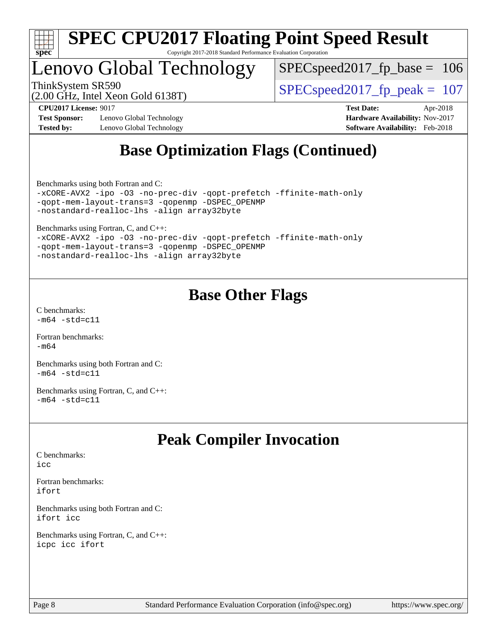

### Lenovo Global Technology

 $SPEC speed2017_fp\_base = 106$ 

(2.00 GHz, Intel Xeon Gold 6138T)

ThinkSystem SR590<br>  $\angle Q$  O CUz Jatel Year Cald 6128T)

**[Test Sponsor:](http://www.spec.org/auto/cpu2017/Docs/result-fields.html#TestSponsor)** Lenovo Global Technology **[Hardware Availability:](http://www.spec.org/auto/cpu2017/Docs/result-fields.html#HardwareAvailability)** Nov-2017 **[Tested by:](http://www.spec.org/auto/cpu2017/Docs/result-fields.html#Testedby)** Lenovo Global Technology **[Software Availability:](http://www.spec.org/auto/cpu2017/Docs/result-fields.html#SoftwareAvailability)** Feb-2018

**[CPU2017 License:](http://www.spec.org/auto/cpu2017/Docs/result-fields.html#CPU2017License)** 9017 **[Test Date:](http://www.spec.org/auto/cpu2017/Docs/result-fields.html#TestDate)** Apr-2018

### **[Base Optimization Flags \(Continued\)](http://www.spec.org/auto/cpu2017/Docs/result-fields.html#BaseOptimizationFlags)**

[Benchmarks using both Fortran and C](http://www.spec.org/auto/cpu2017/Docs/result-fields.html#BenchmarksusingbothFortranandC):

```
-xCORE-AVX2 -ipo -O3 -no-prec-div -qopt-prefetch -ffinite-math-only
-qopt-mem-layout-trans=3 -qopenmp -DSPEC_OPENMP
-nostandard-realloc-lhs -align array32byte
```
[Benchmarks using Fortran, C, and C++:](http://www.spec.org/auto/cpu2017/Docs/result-fields.html#BenchmarksusingFortranCandCXX)

|  |                                            |                                                 | -xCORE-AVX2 -ipo -03 -no-prec-div -qopt-prefetch -ffinite-math-only |
|--|--------------------------------------------|-------------------------------------------------|---------------------------------------------------------------------|
|  |                                            | -gopt-mem-layout-trans=3 -gopenmp -DSPEC OPENMP |                                                                     |
|  | -nostandard-realloc-lhs -align array32byte |                                                 |                                                                     |

### **[Base Other Flags](http://www.spec.org/auto/cpu2017/Docs/result-fields.html#BaseOtherFlags)**

[C benchmarks](http://www.spec.org/auto/cpu2017/Docs/result-fields.html#Cbenchmarks):  $-m64 - std = c11$  $-m64 - std = c11$ 

[Fortran benchmarks](http://www.spec.org/auto/cpu2017/Docs/result-fields.html#Fortranbenchmarks): [-m64](http://www.spec.org/cpu2017/results/res2018q2/cpu2017-20180528-05941.flags.html#user_FCbase_intel_intel64_18.0_af43caccfc8ded86e7699f2159af6efc7655f51387b94da716254467f3c01020a5059329e2569e4053f409e7c9202a7efc638f7a6d1ffb3f52dea4a3e31d82ab)

[Benchmarks using both Fortran and C](http://www.spec.org/auto/cpu2017/Docs/result-fields.html#BenchmarksusingbothFortranandC):  $-m64 - std = c11$  $-m64 - std = c11$ 

[Benchmarks using Fortran, C, and C++:](http://www.spec.org/auto/cpu2017/Docs/result-fields.html#BenchmarksusingFortranCandCXX)  $-m64 - std = c11$  $-m64 - std = c11$ 

### **[Peak Compiler Invocation](http://www.spec.org/auto/cpu2017/Docs/result-fields.html#PeakCompilerInvocation)**

[C benchmarks](http://www.spec.org/auto/cpu2017/Docs/result-fields.html#Cbenchmarks):  $i$ cc

[Fortran benchmarks](http://www.spec.org/auto/cpu2017/Docs/result-fields.html#Fortranbenchmarks): [ifort](http://www.spec.org/cpu2017/results/res2018q2/cpu2017-20180528-05941.flags.html#user_FCpeak_intel_ifort_18.0_8111460550e3ca792625aed983ce982f94888b8b503583aa7ba2b8303487b4d8a21a13e7191a45c5fd58ff318f48f9492884d4413fa793fd88dd292cad7027ca)

[Benchmarks using both Fortran and C](http://www.spec.org/auto/cpu2017/Docs/result-fields.html#BenchmarksusingbothFortranandC): [ifort](http://www.spec.org/cpu2017/results/res2018q2/cpu2017-20180528-05941.flags.html#user_CC_FCpeak_intel_ifort_18.0_8111460550e3ca792625aed983ce982f94888b8b503583aa7ba2b8303487b4d8a21a13e7191a45c5fd58ff318f48f9492884d4413fa793fd88dd292cad7027ca) [icc](http://www.spec.org/cpu2017/results/res2018q2/cpu2017-20180528-05941.flags.html#user_CC_FCpeak_intel_icc_18.0_66fc1ee009f7361af1fbd72ca7dcefbb700085f36577c54f309893dd4ec40d12360134090235512931783d35fd58c0460139e722d5067c5574d8eaf2b3e37e92)

[Benchmarks using Fortran, C, and C++:](http://www.spec.org/auto/cpu2017/Docs/result-fields.html#BenchmarksusingFortranCandCXX) [icpc](http://www.spec.org/cpu2017/results/res2018q2/cpu2017-20180528-05941.flags.html#user_CC_CXX_FCpeak_intel_icpc_18.0_c510b6838c7f56d33e37e94d029a35b4a7bccf4766a728ee175e80a419847e808290a9b78be685c44ab727ea267ec2f070ec5dc83b407c0218cded6866a35d07) [icc](http://www.spec.org/cpu2017/results/res2018q2/cpu2017-20180528-05941.flags.html#user_CC_CXX_FCpeak_intel_icc_18.0_66fc1ee009f7361af1fbd72ca7dcefbb700085f36577c54f309893dd4ec40d12360134090235512931783d35fd58c0460139e722d5067c5574d8eaf2b3e37e92) [ifort](http://www.spec.org/cpu2017/results/res2018q2/cpu2017-20180528-05941.flags.html#user_CC_CXX_FCpeak_intel_ifort_18.0_8111460550e3ca792625aed983ce982f94888b8b503583aa7ba2b8303487b4d8a21a13e7191a45c5fd58ff318f48f9492884d4413fa793fd88dd292cad7027ca)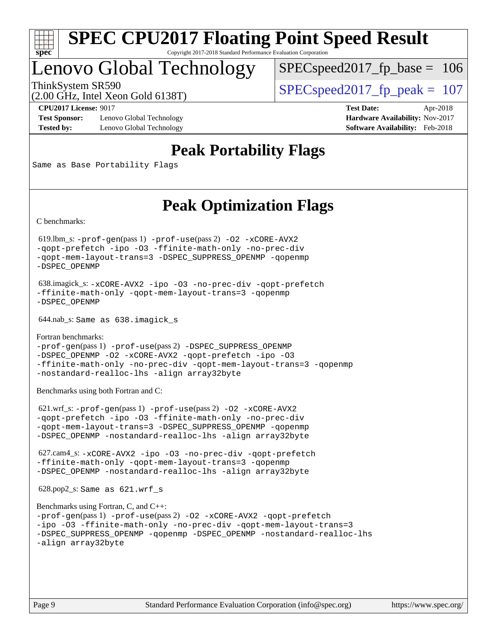

### Lenovo Global Technology

 $SPEC speed2017_fp\_base = 106$ 

(2.00 GHz, Intel Xeon Gold 6138T)

ThinkSystem SR590<br>  $\angle Q$  O CUz Jatel Year Cald 6128T)

**[Test Sponsor:](http://www.spec.org/auto/cpu2017/Docs/result-fields.html#TestSponsor)** Lenovo Global Technology **[Hardware Availability:](http://www.spec.org/auto/cpu2017/Docs/result-fields.html#HardwareAvailability)** Nov-2017 **[Tested by:](http://www.spec.org/auto/cpu2017/Docs/result-fields.html#Testedby)** Lenovo Global Technology **[Software Availability:](http://www.spec.org/auto/cpu2017/Docs/result-fields.html#SoftwareAvailability)** Feb-2018

**[CPU2017 License:](http://www.spec.org/auto/cpu2017/Docs/result-fields.html#CPU2017License)** 9017 **[Test Date:](http://www.spec.org/auto/cpu2017/Docs/result-fields.html#TestDate)** Apr-2018

### **[Peak Portability Flags](http://www.spec.org/auto/cpu2017/Docs/result-fields.html#PeakPortabilityFlags)**

Same as Base Portability Flags

### **[Peak Optimization Flags](http://www.spec.org/auto/cpu2017/Docs/result-fields.html#PeakOptimizationFlags)**

[C benchmarks](http://www.spec.org/auto/cpu2017/Docs/result-fields.html#Cbenchmarks):

 619.lbm\_s: [-prof-gen](http://www.spec.org/cpu2017/results/res2018q2/cpu2017-20180528-05941.flags.html#user_peakPASS1_CFLAGSPASS1_LDFLAGS619_lbm_s_prof_gen_5aa4926d6013ddb2a31985c654b3eb18169fc0c6952a63635c234f711e6e63dd76e94ad52365559451ec499a2cdb89e4dc58ba4c67ef54ca681ffbe1461d6b36)(pass 1) [-prof-use](http://www.spec.org/cpu2017/results/res2018q2/cpu2017-20180528-05941.flags.html#user_peakPASS2_CFLAGSPASS2_LDFLAGS619_lbm_s_prof_use_1a21ceae95f36a2b53c25747139a6c16ca95bd9def2a207b4f0849963b97e94f5260e30a0c64f4bb623698870e679ca08317ef8150905d41bd88c6f78df73f19)(pass 2) [-O2](http://www.spec.org/cpu2017/results/res2018q2/cpu2017-20180528-05941.flags.html#user_peakPASS1_COPTIMIZE619_lbm_s_f-O2) [-xCORE-AVX2](http://www.spec.org/cpu2017/results/res2018q2/cpu2017-20180528-05941.flags.html#user_peakPASS2_COPTIMIZE619_lbm_s_f-xCORE-AVX2) [-qopt-prefetch](http://www.spec.org/cpu2017/results/res2018q2/cpu2017-20180528-05941.flags.html#user_peakPASS1_COPTIMIZEPASS2_COPTIMIZE619_lbm_s_f-qopt-prefetch) [-ipo](http://www.spec.org/cpu2017/results/res2018q2/cpu2017-20180528-05941.flags.html#user_peakPASS2_COPTIMIZE619_lbm_s_f-ipo) [-O3](http://www.spec.org/cpu2017/results/res2018q2/cpu2017-20180528-05941.flags.html#user_peakPASS2_COPTIMIZE619_lbm_s_f-O3) [-ffinite-math-only](http://www.spec.org/cpu2017/results/res2018q2/cpu2017-20180528-05941.flags.html#user_peakPASS1_COPTIMIZEPASS2_COPTIMIZE619_lbm_s_f_finite_math_only_cb91587bd2077682c4b38af759c288ed7c732db004271a9512da14a4f8007909a5f1427ecbf1a0fb78ff2a814402c6114ac565ca162485bbcae155b5e4258871) [-no-prec-div](http://www.spec.org/cpu2017/results/res2018q2/cpu2017-20180528-05941.flags.html#user_peakPASS2_COPTIMIZE619_lbm_s_f-no-prec-div) [-qopt-mem-layout-trans=3](http://www.spec.org/cpu2017/results/res2018q2/cpu2017-20180528-05941.flags.html#user_peakPASS1_COPTIMIZEPASS2_COPTIMIZE619_lbm_s_f-qopt-mem-layout-trans_de80db37974c74b1f0e20d883f0b675c88c3b01e9d123adea9b28688d64333345fb62bc4a798493513fdb68f60282f9a726aa07f478b2f7113531aecce732043) [-DSPEC\\_SUPPRESS\\_OPENMP](http://www.spec.org/cpu2017/results/res2018q2/cpu2017-20180528-05941.flags.html#suite_peakPASS1_COPTIMIZE619_lbm_s_DSPEC_SUPPRESS_OPENMP) [-qopenmp](http://www.spec.org/cpu2017/results/res2018q2/cpu2017-20180528-05941.flags.html#user_peakPASS2_COPTIMIZE619_lbm_s_qopenmp_16be0c44f24f464004c6784a7acb94aca937f053568ce72f94b139a11c7c168634a55f6653758ddd83bcf7b8463e8028bb0b48b77bcddc6b78d5d95bb1df2967) [-DSPEC\\_OPENMP](http://www.spec.org/cpu2017/results/res2018q2/cpu2017-20180528-05941.flags.html#suite_peakPASS2_COPTIMIZE619_lbm_s_DSPEC_OPENMP)

```
 638.imagick_s: -xCORE-AVX2 -ipo -O3 -no-prec-div -qopt-prefetch
-ffinite-math-only -qopt-mem-layout-trans=3 -qopenmp
-DSPEC_OPENMP
```
644.nab\_s: Same as 638.imagick\_s

```
Fortran benchmarks: 
-prof-gen(pass 1) -prof-use(pass 2) -DSPEC_SUPPRESS_OPENMP
-DSPEC_OPENMP -O2 -xCORE-AVX2 -qopt-prefetch -ipo -O3
-ffinite-math-only -no-prec-div -qopt-mem-layout-trans=3 -qopenmp
-nostandard-realloc-lhs -align array32byte
```
[Benchmarks using both Fortran and C](http://www.spec.org/auto/cpu2017/Docs/result-fields.html#BenchmarksusingbothFortranandC):

 621.wrf\_s: [-prof-gen](http://www.spec.org/cpu2017/results/res2018q2/cpu2017-20180528-05941.flags.html#user_peakPASS1_CFLAGSPASS1_FFLAGSPASS1_LDFLAGS621_wrf_s_prof_gen_5aa4926d6013ddb2a31985c654b3eb18169fc0c6952a63635c234f711e6e63dd76e94ad52365559451ec499a2cdb89e4dc58ba4c67ef54ca681ffbe1461d6b36)(pass 1) [-prof-use](http://www.spec.org/cpu2017/results/res2018q2/cpu2017-20180528-05941.flags.html#user_peakPASS2_CFLAGSPASS2_FFLAGSPASS2_LDFLAGS621_wrf_s_prof_use_1a21ceae95f36a2b53c25747139a6c16ca95bd9def2a207b4f0849963b97e94f5260e30a0c64f4bb623698870e679ca08317ef8150905d41bd88c6f78df73f19)(pass 2) [-O2](http://www.spec.org/cpu2017/results/res2018q2/cpu2017-20180528-05941.flags.html#user_peakPASS1_COPTIMIZEPASS1_FOPTIMIZE621_wrf_s_f-O2) [-xCORE-AVX2](http://www.spec.org/cpu2017/results/res2018q2/cpu2017-20180528-05941.flags.html#user_peakPASS2_COPTIMIZEPASS2_FOPTIMIZE621_wrf_s_f-xCORE-AVX2) [-qopt-prefetch](http://www.spec.org/cpu2017/results/res2018q2/cpu2017-20180528-05941.flags.html#user_peakPASS1_COPTIMIZEPASS1_FOPTIMIZEPASS2_COPTIMIZEPASS2_FOPTIMIZE621_wrf_s_f-qopt-prefetch) [-ipo](http://www.spec.org/cpu2017/results/res2018q2/cpu2017-20180528-05941.flags.html#user_peakPASS2_COPTIMIZEPASS2_FOPTIMIZE621_wrf_s_f-ipo) [-O3](http://www.spec.org/cpu2017/results/res2018q2/cpu2017-20180528-05941.flags.html#user_peakPASS2_COPTIMIZEPASS2_FOPTIMIZE621_wrf_s_f-O3) [-ffinite-math-only](http://www.spec.org/cpu2017/results/res2018q2/cpu2017-20180528-05941.flags.html#user_peakPASS1_COPTIMIZEPASS1_FOPTIMIZEPASS2_COPTIMIZEPASS2_FOPTIMIZE621_wrf_s_f_finite_math_only_cb91587bd2077682c4b38af759c288ed7c732db004271a9512da14a4f8007909a5f1427ecbf1a0fb78ff2a814402c6114ac565ca162485bbcae155b5e4258871) [-no-prec-div](http://www.spec.org/cpu2017/results/res2018q2/cpu2017-20180528-05941.flags.html#user_peakPASS2_COPTIMIZEPASS2_FOPTIMIZE621_wrf_s_f-no-prec-div) [-qopt-mem-layout-trans=3](http://www.spec.org/cpu2017/results/res2018q2/cpu2017-20180528-05941.flags.html#user_peakPASS1_COPTIMIZEPASS1_FOPTIMIZEPASS2_COPTIMIZEPASS2_FOPTIMIZE621_wrf_s_f-qopt-mem-layout-trans_de80db37974c74b1f0e20d883f0b675c88c3b01e9d123adea9b28688d64333345fb62bc4a798493513fdb68f60282f9a726aa07f478b2f7113531aecce732043) [-DSPEC\\_SUPPRESS\\_OPENMP](http://www.spec.org/cpu2017/results/res2018q2/cpu2017-20180528-05941.flags.html#suite_peakPASS1_COPTIMIZEPASS1_FOPTIMIZE621_wrf_s_DSPEC_SUPPRESS_OPENMP) [-qopenmp](http://www.spec.org/cpu2017/results/res2018q2/cpu2017-20180528-05941.flags.html#user_peakPASS2_COPTIMIZEPASS2_FOPTIMIZE621_wrf_s_qopenmp_16be0c44f24f464004c6784a7acb94aca937f053568ce72f94b139a11c7c168634a55f6653758ddd83bcf7b8463e8028bb0b48b77bcddc6b78d5d95bb1df2967) [-DSPEC\\_OPENMP](http://www.spec.org/cpu2017/results/res2018q2/cpu2017-20180528-05941.flags.html#suite_peakPASS2_COPTIMIZEPASS2_FOPTIMIZE621_wrf_s_DSPEC_OPENMP) [-nostandard-realloc-lhs](http://www.spec.org/cpu2017/results/res2018q2/cpu2017-20180528-05941.flags.html#user_peakEXTRA_FOPTIMIZE621_wrf_s_f_2003_std_realloc_82b4557e90729c0f113870c07e44d33d6f5a304b4f63d4c15d2d0f1fab99f5daaed73bdb9275d9ae411527f28b936061aa8b9c8f2d63842963b95c9dd6426b8a) [-align array32byte](http://www.spec.org/cpu2017/results/res2018q2/cpu2017-20180528-05941.flags.html#user_peakEXTRA_FOPTIMIZE621_wrf_s_align_array32byte_b982fe038af199962ba9a80c053b8342c548c85b40b8e86eb3cc33dee0d7986a4af373ac2d51c3f7cf710a18d62fdce2948f201cd044323541f22fc0fffc51b6)

 627.cam4\_s: [-xCORE-AVX2](http://www.spec.org/cpu2017/results/res2018q2/cpu2017-20180528-05941.flags.html#user_peakCOPTIMIZEFOPTIMIZE627_cam4_s_f-xCORE-AVX2) [-ipo](http://www.spec.org/cpu2017/results/res2018q2/cpu2017-20180528-05941.flags.html#user_peakCOPTIMIZEFOPTIMIZE627_cam4_s_f-ipo) [-O3](http://www.spec.org/cpu2017/results/res2018q2/cpu2017-20180528-05941.flags.html#user_peakCOPTIMIZEFOPTIMIZE627_cam4_s_f-O3) [-no-prec-div](http://www.spec.org/cpu2017/results/res2018q2/cpu2017-20180528-05941.flags.html#user_peakCOPTIMIZEFOPTIMIZE627_cam4_s_f-no-prec-div) [-qopt-prefetch](http://www.spec.org/cpu2017/results/res2018q2/cpu2017-20180528-05941.flags.html#user_peakCOPTIMIZEFOPTIMIZE627_cam4_s_f-qopt-prefetch) [-ffinite-math-only](http://www.spec.org/cpu2017/results/res2018q2/cpu2017-20180528-05941.flags.html#user_peakCOPTIMIZEFOPTIMIZE627_cam4_s_f_finite_math_only_cb91587bd2077682c4b38af759c288ed7c732db004271a9512da14a4f8007909a5f1427ecbf1a0fb78ff2a814402c6114ac565ca162485bbcae155b5e4258871) [-qopt-mem-layout-trans=3](http://www.spec.org/cpu2017/results/res2018q2/cpu2017-20180528-05941.flags.html#user_peakCOPTIMIZEFOPTIMIZE627_cam4_s_f-qopt-mem-layout-trans_de80db37974c74b1f0e20d883f0b675c88c3b01e9d123adea9b28688d64333345fb62bc4a798493513fdb68f60282f9a726aa07f478b2f7113531aecce732043) [-qopenmp](http://www.spec.org/cpu2017/results/res2018q2/cpu2017-20180528-05941.flags.html#user_peakCOPTIMIZEFOPTIMIZE627_cam4_s_qopenmp_16be0c44f24f464004c6784a7acb94aca937f053568ce72f94b139a11c7c168634a55f6653758ddd83bcf7b8463e8028bb0b48b77bcddc6b78d5d95bb1df2967) [-DSPEC\\_OPENMP](http://www.spec.org/cpu2017/results/res2018q2/cpu2017-20180528-05941.flags.html#suite_peakCOPTIMIZEFOPTIMIZE627_cam4_s_DSPEC_OPENMP) [-nostandard-realloc-lhs](http://www.spec.org/cpu2017/results/res2018q2/cpu2017-20180528-05941.flags.html#user_peakEXTRA_FOPTIMIZE627_cam4_s_f_2003_std_realloc_82b4557e90729c0f113870c07e44d33d6f5a304b4f63d4c15d2d0f1fab99f5daaed73bdb9275d9ae411527f28b936061aa8b9c8f2d63842963b95c9dd6426b8a) [-align array32byte](http://www.spec.org/cpu2017/results/res2018q2/cpu2017-20180528-05941.flags.html#user_peakEXTRA_FOPTIMIZE627_cam4_s_align_array32byte_b982fe038af199962ba9a80c053b8342c548c85b40b8e86eb3cc33dee0d7986a4af373ac2d51c3f7cf710a18d62fdce2948f201cd044323541f22fc0fffc51b6)

628.pop2\_s: Same as 621.wrf\_s

```
Benchmarks using Fortran, C, and C++: 
-prof-gen(pass 1) -prof-use(pass 2) -O2 -xCORE-AVX2 -qopt-prefetch
-ipo -O3 -ffinite-math-only -no-prec-div -qopt-mem-layout-trans=3
-DSPEC_SUPPRESS_OPENMP -qopenmp -DSPEC_OPENMP -nostandard-realloc-lhs
-align array32byte
```